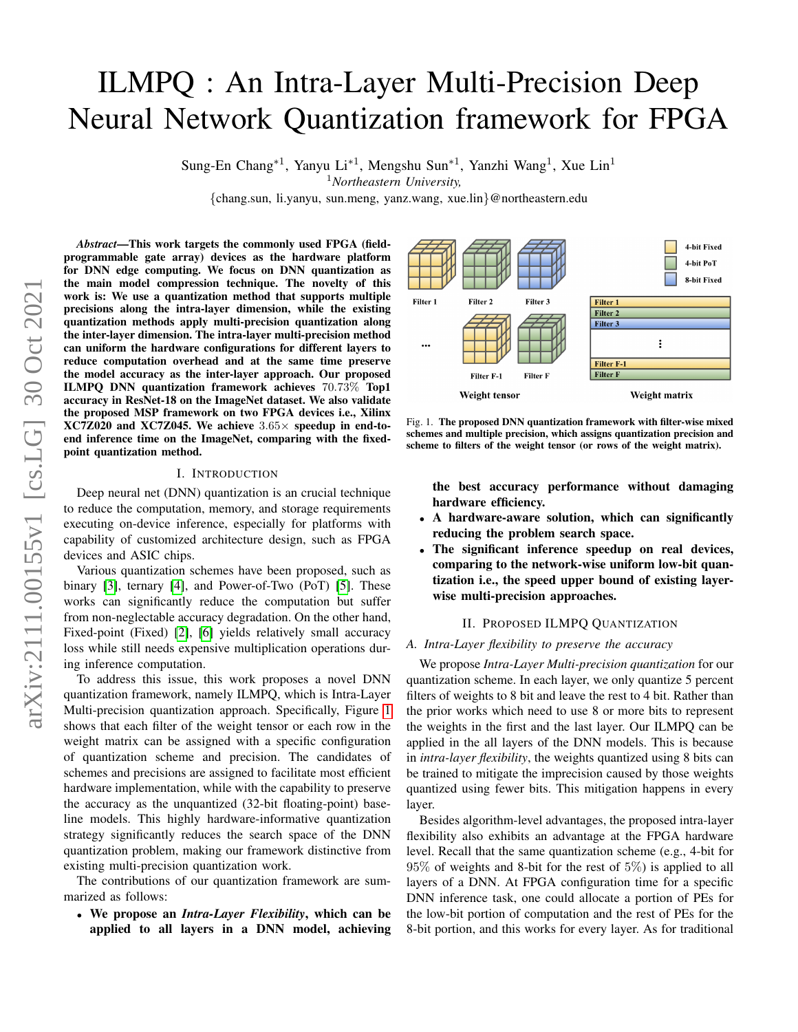# ILMPQ : An Intra-Layer Multi-Precision Deep Neural Network Quantization framework for FPGA

Sung-En Chang<sup>\*1</sup>, Yanyu Li<sup>\*1</sup>, Mengshu Sun<sup>\*1</sup>, Yanzhi Wang<sup>1</sup>, Xue Lin<sup>1</sup>

<sup>1</sup>*Northeastern University,*

{chang.sun, li.yanyu, sun.meng, yanz.wang, xue.lin}@northeastern.edu

*Abstract*—This work targets the commonly used FPGA (fieldprogrammable gate array) devices as the hardware platform for DNN edge computing. We focus on DNN quantization as the main model compression technique. The novelty of this work is: We use a quantization method that supports multiple precisions along the intra-layer dimension, while the existing quantization methods apply multi-precision quantization along the inter-layer dimension. The intra-layer multi-precision method can uniform the hardware configurations for different layers to reduce computation overhead and at the same time preserve the model accuracy as the inter-layer approach. Our proposed ILMPQ DNN quantization framework achieves 70.73% Top1 accuracy in ResNet-18 on the ImageNet dataset. We also validate the proposed MSP framework on two FPGA devices i.e., Xilinx  $XC7Z020$  and  $XC7Z045$ . We achieve  $3.65\times$  speedup in end-toend inference time on the ImageNet, comparing with the fixedpoint quantization method.

## I. INTRODUCTION

Deep neural net (DNN) quantization is an crucial technique to reduce the computation, memory, and storage requirements executing on-device inference, especially for platforms with capability of customized architecture design, such as FPGA devices and ASIC chips.

Various quantization schemes have been proposed, such as binary [\[3\]](#page-1-0), ternary [\[4\]](#page-1-1), and Power-of-Two (PoT) [\[5\]](#page-1-2). These works can significantly reduce the computation but suffer from non-neglectable accuracy degradation. On the other hand, Fixed-point (Fixed) [\[2\]](#page-1-3), [\[6\]](#page-1-4) yields relatively small accuracy loss while still needs expensive multiplication operations during inference computation.

To address this issue, this work proposes a novel DNN quantization framework, namely ILMPQ, which is Intra-Layer Multi-precision quantization approach. Specifically, Figure [1](#page-0-0) shows that each filter of the weight tensor or each row in the weight matrix can be assigned with a specific configuration of quantization scheme and precision. The candidates of schemes and precisions are assigned to facilitate most efficient hardware implementation, while with the capability to preserve the accuracy as the unquantized (32-bit floating-point) baseline models. This highly hardware-informative quantization strategy significantly reduces the search space of the DNN quantization problem, making our framework distinctive from existing multi-precision quantization work.

The contributions of our quantization framework are summarized as follows:

• We propose an *Intra-Layer Flexibility*, which can be applied to all layers in a DNN model, achieving



<span id="page-0-0"></span>Fig. 1. The proposed DNN quantization framework with filter-wise mixed schemes and multiple precision, which assigns quantization precision and scheme to filters of the weight tensor (or rows of the weight matrix).

the best accuracy performance without damaging hardware efficiency.

- A hardware-aware solution, which can significantly reducing the problem search space.
- The significant inference speedup on real devices, comparing to the network-wise uniform low-bit quantization i.e., the speed upper bound of existing layerwise multi-precision approaches.

# II. PROPOSED ILMPQ QUANTIZATION

# *A. Intra-Layer flexibility to preserve the accuracy*

We propose *Intra-Layer Multi-precision quantization* for our quantization scheme. In each layer, we only quantize 5 percent filters of weights to 8 bit and leave the rest to 4 bit. Rather than the prior works which need to use 8 or more bits to represent the weights in the first and the last layer. Our ILMPQ can be applied in the all layers of the DNN models. This is because in *intra-layer flexibility*, the weights quantized using 8 bits can be trained to mitigate the imprecision caused by those weights quantized using fewer bits. This mitigation happens in every layer.

Besides algorithm-level advantages, the proposed intra-layer flexibility also exhibits an advantage at the FPGA hardware level. Recall that the same quantization scheme (e.g., 4-bit for 95% of weights and 8-bit for the rest of 5%) is applied to all layers of a DNN. At FPGA configuration time for a specific DNN inference task, one could allocate a portion of PEs for the low-bit portion of computation and the rest of PEs for the 8-bit portion, and this works for every layer. As for traditional